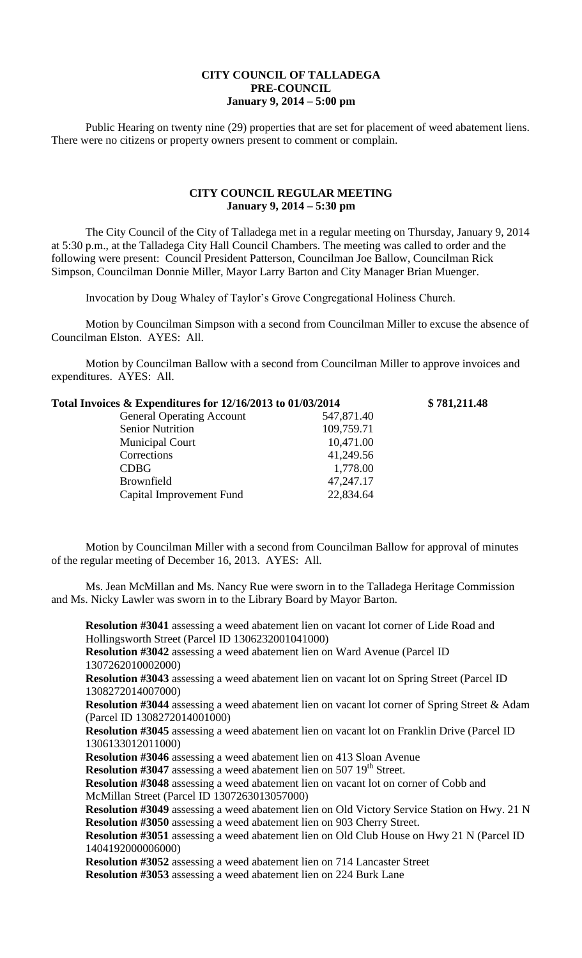## **CITY COUNCIL OF TALLADEGA PRE-COUNCIL January 9, 2014 – 5:00 pm**

Public Hearing on twenty nine (29) properties that are set for placement of weed abatement liens. There were no citizens or property owners present to comment or complain.

## **CITY COUNCIL REGULAR MEETING January 9, 2014 – 5:30 pm**

The City Council of the City of Talladega met in a regular meeting on Thursday, January 9, 2014 at 5:30 p.m., at the Talladega City Hall Council Chambers. The meeting was called to order and the following were present: Council President Patterson, Councilman Joe Ballow, Councilman Rick Simpson, Councilman Donnie Miller, Mayor Larry Barton and City Manager Brian Muenger.

Invocation by Doug Whaley of Taylor's Grove Congregational Holiness Church.

Motion by Councilman Simpson with a second from Councilman Miller to excuse the absence of Councilman Elston. AYES: All.

Motion by Councilman Ballow with a second from Councilman Miller to approve invoices and expenditures. AYES: All.

| Total Invoices & Expenditures for 12/16/2013 to 01/03/2014 |            | \$781,211.48 |
|------------------------------------------------------------|------------|--------------|
| <b>General Operating Account</b>                           | 547,871.40 |              |
| <b>Senior Nutrition</b>                                    | 109,759.71 |              |
| <b>Municipal Court</b>                                     | 10,471.00  |              |
| Corrections                                                | 41,249.56  |              |
| <b>CDBG</b>                                                | 1,778.00   |              |
| Brownfield                                                 | 47,247.17  |              |
| Capital Improvement Fund                                   | 22,834.64  |              |
|                                                            |            |              |

Motion by Councilman Miller with a second from Councilman Ballow for approval of minutes of the regular meeting of December 16, 2013. AYES: All.

Ms. Jean McMillan and Ms. Nancy Rue were sworn in to the Talladega Heritage Commission and Ms. Nicky Lawler was sworn in to the Library Board by Mayor Barton.

**Resolution #3041** assessing a weed abatement lien on vacant lot corner of Lide Road and Hollingsworth Street (Parcel ID 1306232001041000) **Resolution #3042** assessing a weed abatement lien on Ward Avenue (Parcel ID 1307262010002000) **Resolution #3043** assessing a weed abatement lien on vacant lot on Spring Street (Parcel ID 1308272014007000) **Resolution #3044** assessing a weed abatement lien on vacant lot corner of Spring Street & Adam (Parcel ID 1308272014001000) **Resolution #3045** assessing a weed abatement lien on vacant lot on Franklin Drive (Parcel ID 1306133012011000) **Resolution #3046** assessing a weed abatement lien on 413 Sloan Avenue **Resolution #3047** assessing a weed abatement lien on 507 19<sup>th</sup> Street. **Resolution #3048** assessing a weed abatement lien on vacant lot on corner of Cobb and McMillan Street (Parcel ID 1307263013057000) **Resolution #3049** assessing a weed abatement lien on Old Victory Service Station on Hwy. 21 N **Resolution #3050** assessing a weed abatement lien on 903 Cherry Street. **Resolution #3051** assessing a weed abatement lien on Old Club House on Hwy 21 N (Parcel ID 1404192000006000) **Resolution #3052** assessing a weed abatement lien on 714 Lancaster Street **Resolution #3053** assessing a weed abatement lien on 224 Burk Lane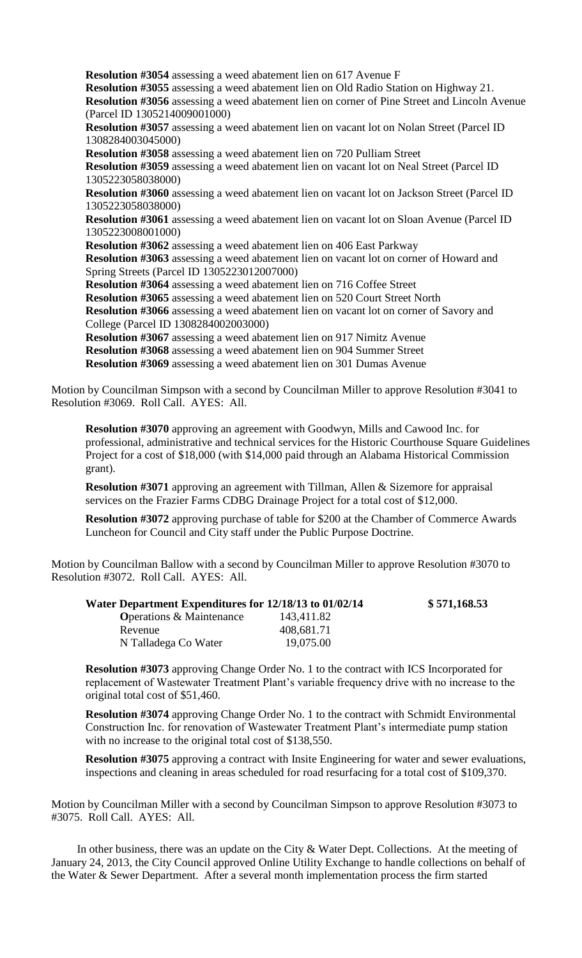**Resolution #3054** assessing a weed abatement lien on 617 Avenue F **Resolution #3055** assessing a weed abatement lien on Old Radio Station on Highway 21. **Resolution #3056** assessing a weed abatement lien on corner of Pine Street and Lincoln Avenue (Parcel ID 1305214009001000) **Resolution #3057** assessing a weed abatement lien on vacant lot on Nolan Street (Parcel ID 1308284003045000) **Resolution #3058** assessing a weed abatement lien on 720 Pulliam Street **Resolution #3059** assessing a weed abatement lien on vacant lot on Neal Street (Parcel ID 1305223058038000) **Resolution #3060** assessing a weed abatement lien on vacant lot on Jackson Street (Parcel ID 1305223058038000) **Resolution #3061** assessing a weed abatement lien on vacant lot on Sloan Avenue (Parcel ID 1305223008001000) **Resolution #3062** assessing a weed abatement lien on 406 East Parkway **Resolution #3063** assessing a weed abatement lien on vacant lot on corner of Howard and Spring Streets (Parcel ID 1305223012007000) **Resolution #3064** assessing a weed abatement lien on 716 Coffee Street **Resolution #3065** assessing a weed abatement lien on 520 Court Street North **Resolution #3066** assessing a weed abatement lien on vacant lot on corner of Savory and College (Parcel ID 1308284002003000) **Resolution #3067** assessing a weed abatement lien on 917 Nimitz Avenue **Resolution #3068** assessing a weed abatement lien on 904 Summer Street **Resolution #3069** assessing a weed abatement lien on 301 Dumas Avenue

Motion by Councilman Simpson with a second by Councilman Miller to approve Resolution #3041 to Resolution #3069. Roll Call. AYES: All.

**Resolution #3070** approving an agreement with Goodwyn, Mills and Cawood Inc. for professional, administrative and technical services for the Historic Courthouse Square Guidelines Project for a cost of \$18,000 (with \$14,000 paid through an Alabama Historical Commission grant).

**Resolution #3071** approving an agreement with Tillman, Allen & Sizemore for appraisal services on the Frazier Farms CDBG Drainage Project for a total cost of \$12,000.

**Resolution #3072** approving purchase of table for \$200 at the Chamber of Commerce Awards Luncheon for Council and City staff under the Public Purpose Doctrine.

Motion by Councilman Ballow with a second by Councilman Miller to approve Resolution #3070 to Resolution #3072. Roll Call. AYES: All.

| Water Department Expenditures for 12/18/13 to 01/02/14 |            | \$571,168.53 |
|--------------------------------------------------------|------------|--------------|
| <b>Operations &amp; Maintenance</b>                    | 143,411.82 |              |
| Revenue                                                | 408,681.71 |              |
| N Talladega Co Water                                   | 19,075.00  |              |

**Resolution #3073** approving Change Order No. 1 to the contract with ICS Incorporated for replacement of Wastewater Treatment Plant's variable frequency drive with no increase to the original total cost of \$51,460.

**Resolution #3074** approving Change Order No. 1 to the contract with Schmidt Environmental Construction Inc. for renovation of Wastewater Treatment Plant's intermediate pump station with no increase to the original total cost of \$138,550.

**Resolution #3075** approving a contract with Insite Engineering for water and sewer evaluations, inspections and cleaning in areas scheduled for road resurfacing for a total cost of \$109,370.

Motion by Councilman Miller with a second by Councilman Simpson to approve Resolution #3073 to #3075. Roll Call. AYES: All.

In other business, there was an update on the City & Water Dept. Collections. At the meeting of January 24, 2013, the City Council approved Online Utility Exchange to handle collections on behalf of the Water & Sewer Department. After a several month implementation process the firm started